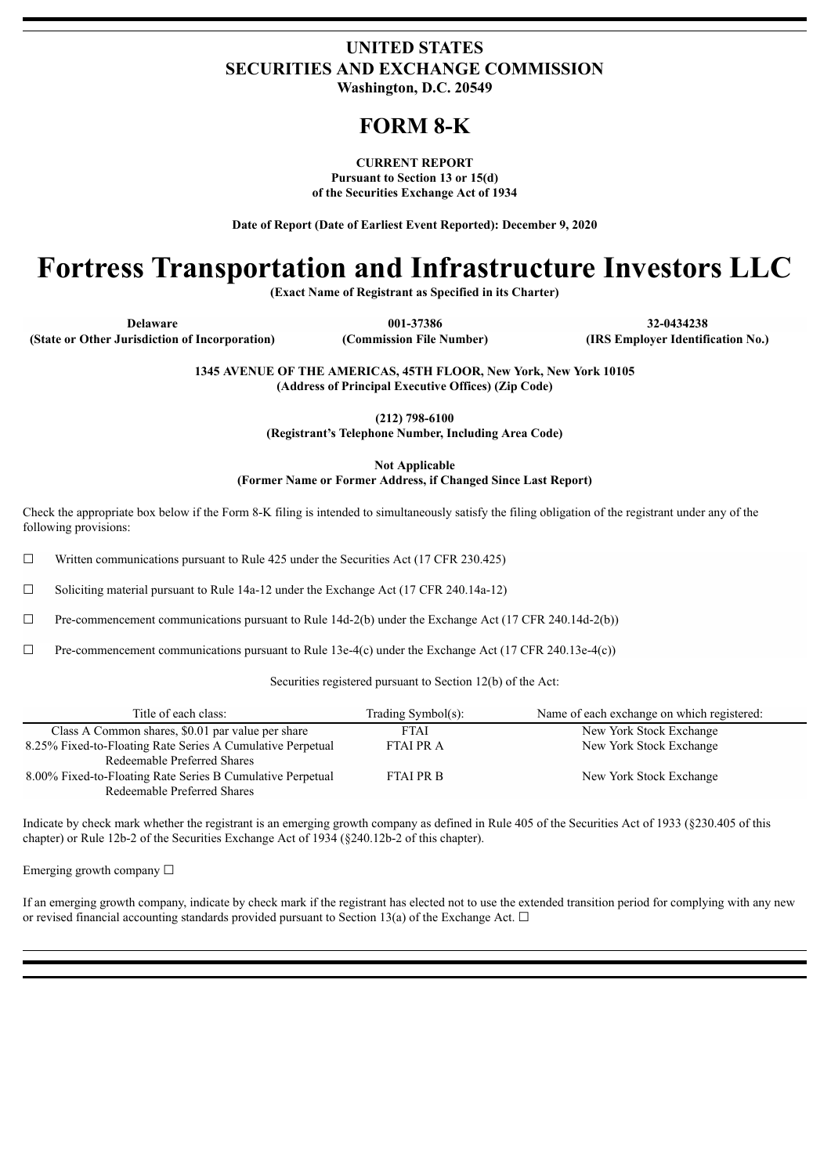### **UNITED STATES SECURITIES AND EXCHANGE COMMISSION Washington, D.C. 20549**

## **FORM 8-K**

**CURRENT REPORT Pursuant to Section 13 or 15(d) of the Securities Exchange Act of 1934**

**Date of Report (Date of Earliest Event Reported): December 9, 2020**

# **Fortress Transportation and Infrastructure Investors LLC**

**(Exact Name of Registrant as Specified in its Charter)**

**Delaware 001-37386 32-0434238 (State or Other Jurisdiction of Incorporation) (Commission File Number) (IRS Employer Identification No.)**

> **1345 AVENUE OF THE AMERICAS, 45TH FLOOR, New York, New York 10105 (Address of Principal Executive Offices) (Zip Code)**

> > **(212) 798-6100**

**(Registrant's Telephone Number, Including Area Code)**

**Not Applicable**

**(Former Name or Former Address, if Changed Since Last Report)**

Check the appropriate box below if the Form 8-K filing is intended to simultaneously satisfy the filing obligation of the registrant under any of the following provisions:

 $\Box$  Written communications pursuant to Rule 425 under the Securities Act (17 CFR 230.425)

☐ Soliciting material pursuant to Rule 14a-12 under the Exchange Act (17 CFR 240.14a-12)

 $\Box$  Pre-commencement communications pursuant to Rule 14d-2(b) under the Exchange Act (17 CFR 240.14d-2(b))

 $\Box$  Pre-commencement communications pursuant to Rule 13e-4(c) under the Exchange Act (17 CFR 240.13e-4(c))

Securities registered pursuant to Section 12(b) of the Act:

| Title of each class:                                       | Trading Symbol $(s)$ : | Name of each exchange on which registered: |
|------------------------------------------------------------|------------------------|--------------------------------------------|
| Class A Common shares, \$0.01 par value per share          | FTAI                   | New York Stock Exchange                    |
| 8.25% Fixed-to-Floating Rate Series A Cumulative Perpetual | <b>FTAI PRA</b>        | New York Stock Exchange                    |
| Redeemable Preferred Shares                                |                        |                                            |
| 8.00% Fixed-to-Floating Rate Series B Cumulative Perpetual | <b>FTAI PR B</b>       | New York Stock Exchange                    |
| Redeemable Preferred Shares                                |                        |                                            |

Indicate by check mark whether the registrant is an emerging growth company as defined in Rule 405 of the Securities Act of 1933 (§230.405 of this chapter) or Rule 12b-2 of the Securities Exchange Act of 1934 (§240.12b-2 of this chapter).

Emerging growth company  $\Box$ 

If an emerging growth company, indicate by check mark if the registrant has elected not to use the extended transition period for complying with any new or revised financial accounting standards provided pursuant to Section 13(a) of the Exchange Act.  $\Box$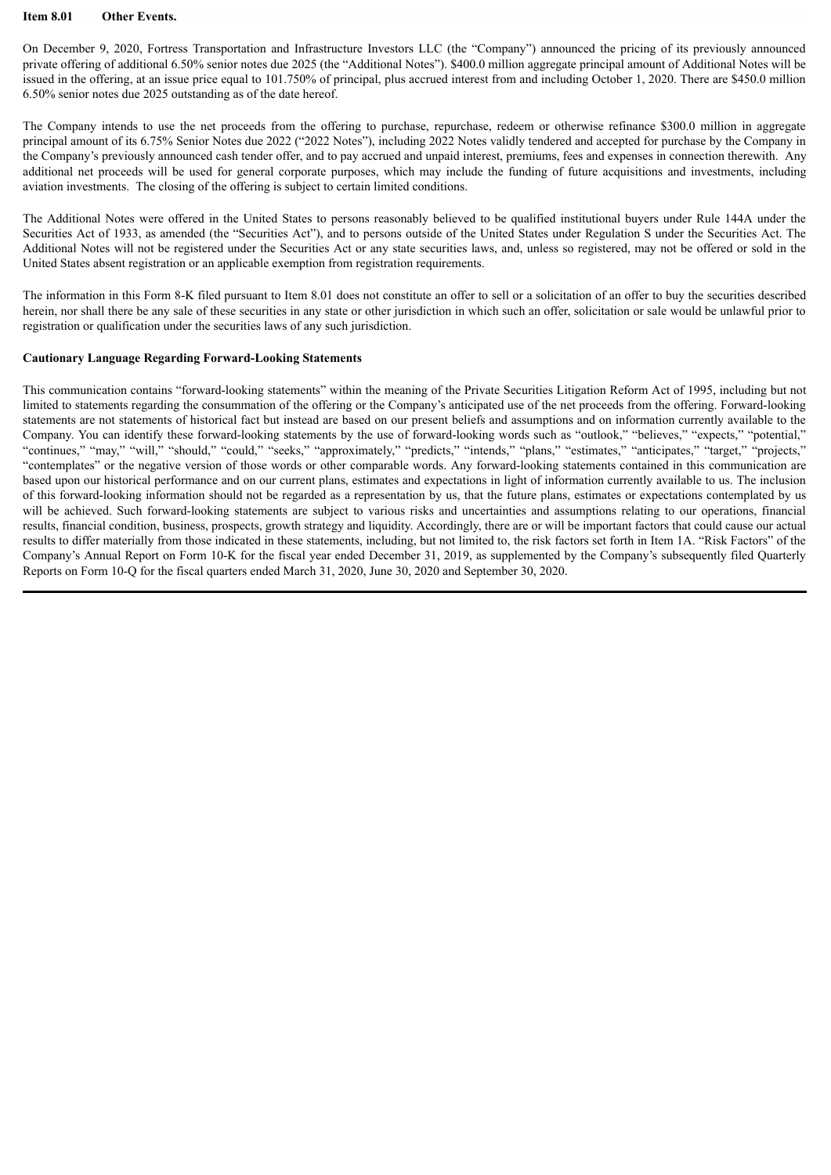#### **Item 8.01 Other Events.**

On December 9, 2020, Fortress Transportation and Infrastructure Investors LLC (the "Company") announced the pricing of its previously announced private offering of additional 6.50% senior notes due 2025 (the "Additional Notes"). \$400.0 million aggregate principal amount of Additional Notes will be issued in the offering, at an issue price equal to 101.750% of principal, plus accrued interest from and including October 1, 2020. There are \$450.0 million 6.50% senior notes due 2025 outstanding as of the date hereof.

The Company intends to use the net proceeds from the offering to purchase, repurchase, redeem or otherwise refinance \$300.0 million in aggregate principal amount of its 6.75% Senior Notes due 2022 ("2022 Notes"), including 2022 Notes validly tendered and accepted for purchase by the Company in the Company's previously announced cash tender offer, and to pay accrued and unpaid interest, premiums, fees and expenses in connection therewith. Any additional net proceeds will be used for general corporate purposes, which may include the funding of future acquisitions and investments, including aviation investments. The closing of the offering is subject to certain limited conditions.

The Additional Notes were offered in the United States to persons reasonably believed to be qualified institutional buyers under Rule 144A under the Securities Act of 1933, as amended (the "Securities Act"), and to persons outside of the United States under Regulation S under the Securities Act. The Additional Notes will not be registered under the Securities Act or any state securities laws, and, unless so registered, may not be offered or sold in the United States absent registration or an applicable exemption from registration requirements.

The information in this Form 8-K filed pursuant to Item 8.01 does not constitute an offer to sell or a solicitation of an offer to buy the securities described herein, nor shall there be any sale of these securities in any state or other jurisdiction in which such an offer, solicitation or sale would be unlawful prior to registration or qualification under the securities laws of any such jurisdiction.

#### **Cautionary Language Regarding Forward-Looking Statements**

This communication contains "forward-looking statements" within the meaning of the Private Securities Litigation Reform Act of 1995, including but not limited to statements regarding the consummation of the offering or the Company's anticipated use of the net proceeds from the offering. Forward-looking statements are not statements of historical fact but instead are based on our present beliefs and assumptions and on information currently available to the Company. You can identify these forward-looking statements by the use of forward-looking words such as "outlook," "believes," "expects," "potential," "continues," "may," "will," "should," "could," "seeks," "approximately," "predicts," "intends," "plans," "estimates," "anticipates," "target," "projects," "contemplates" or the negative version of those words or other comparable words. Any forward-looking statements contained in this communication are based upon our historical performance and on our current plans, estimates and expectations in light of information currently available to us. The inclusion of this forward-looking information should not be regarded as a representation by us, that the future plans, estimates or expectations contemplated by us will be achieved. Such forward-looking statements are subject to various risks and uncertainties and assumptions relating to our operations, financial results, financial condition, business, prospects, growth strategy and liquidity. Accordingly, there are or will be important factors that could cause our actual results to differ materially from those indicated in these statements, including, but not limited to, the risk factors set forth in Item 1A. "Risk Factors" of the Company's Annual Report on Form 10-K for the fiscal year ended December 31, 2019, as supplemented by the Company's subsequently filed Quarterly Reports on Form 10-Q for the fiscal quarters ended March 31, 2020, June 30, 2020 and September 30, 2020.